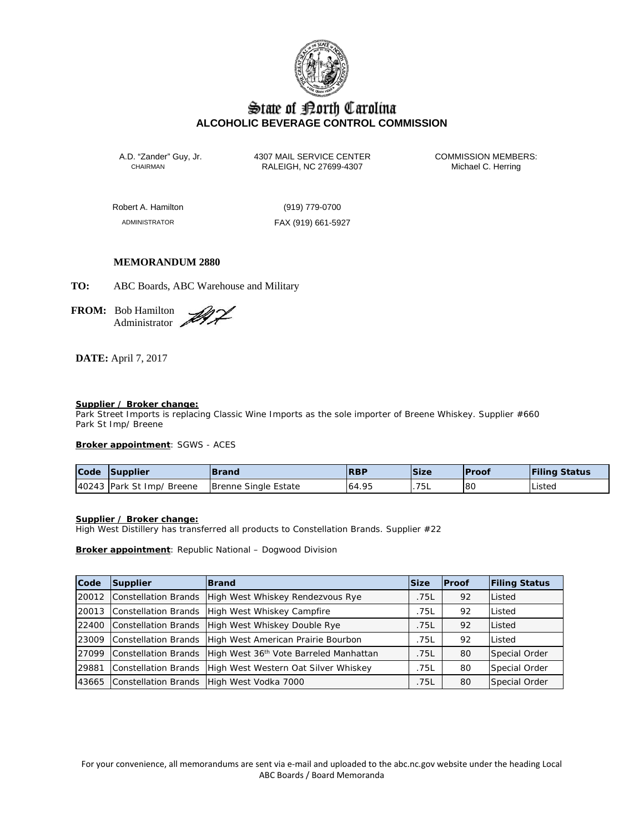

# State of Borth Carolina **ALCOHOLIC BEVERAGE CONTROL COMMISSION**

A.D. "Zander" Guy, Jr. 4307 MAIL SERVICE CENTER COMMISSION MEMBERS:<br>CHAIRMAN RALEIGH, NC 27699-4307 Michael C. Herring RALEIGH, NC 27699-4307

Robert A. Hamilton (919) 779-0700

ADMINISTRATOR FAX (919) 661-5927

# **MEMORANDUM 2880**

**TO:** ABC Boards, ABC Warehouse and Military

**FROM:** Bob Hamilton Administrator 2

# **DATE:** April 7, 2017

### **Supplier / Broker change:**

Park Street Imports is replacing Classic Wine Imports as the sole importer of Breene Whiskey. Supplier #660 Park St Imp/ Breene

### **Broker appointment**: SGWS - ACES

| Code | Supplier                  | <b>Brand</b>         | <b>RBP</b> | <b>Size</b> | lProof | <b>Filing Status</b> |
|------|---------------------------|----------------------|------------|-------------|--------|----------------------|
|      | 40243 Park St Imp/ Breene | Brenne Single Estate | 64.95      | 75L         | l 8C   | Listed               |

### **Supplier / Broker change:**

High West Distillery has transferred all products to Constellation Brands. Supplier #22

**Broker appointment**: Republic National – Dogwood Division

| Code  | Supplier             | <b>Brand</b>                                                            | <b>Size</b> | <b>Proof</b> | <b>Filing Status</b> |
|-------|----------------------|-------------------------------------------------------------------------|-------------|--------------|----------------------|
| 20012 |                      | Constellation Brands High West Whiskey Rendezvous Rye                   | .75L        | 92           | Listed               |
| 20013 |                      | Constellation Brands   High West Whiskey Campfire                       | .75L        | 92           | Listed               |
| 22400 | Constellation Brands | High West Whiskey Double Rye                                            | .75L        | 92           | Listed               |
| 23009 |                      | Constellation Brands High West American Prairie Bourbon                 | .75L        | 92           | Listed               |
| 27099 |                      | Constellation Brands High West 36 <sup>th</sup> Vote Barreled Manhattan | .75L        | 80           | Special Order        |
| 29881 |                      | Constellation Brands High West Western Oat Silver Whiskey               | .75L        | 80           | Special Order        |
| 43665 |                      | Constellation Brands High West Vodka 7000                               | .75L        | 80           | Special Order        |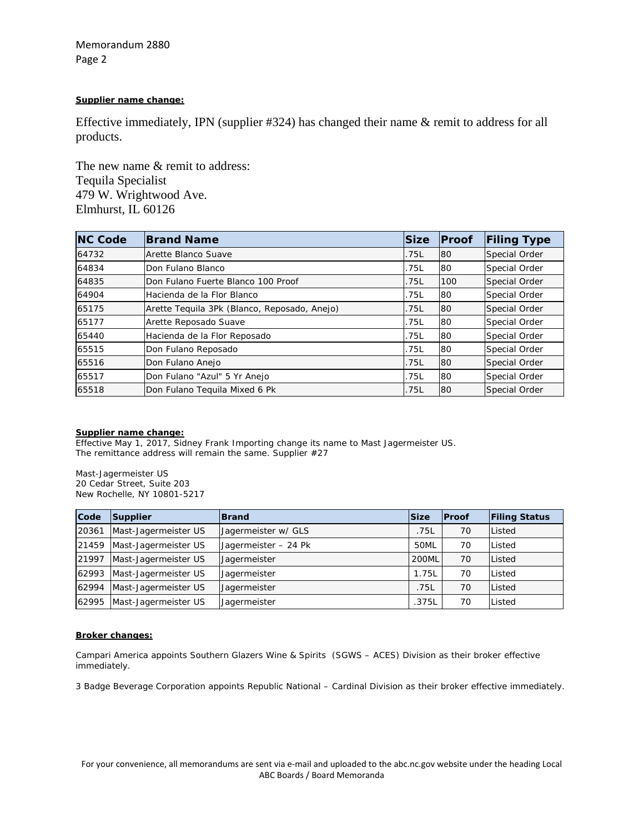Memorandum 2880 Page 2

## **Supplier name change:**

Effective immediately, IPN (supplier #324) has changed their name & remit to address for all products.

The new name & remit to address: Tequila Specialist 479 W. Wrightwood Ave. Elmhurst, IL 60126

| <b>NC Code</b> | <b>Brand Name</b>                            | <b>Size</b> | <b>Proof</b> | <b>Filing Type</b> |
|----------------|----------------------------------------------|-------------|--------------|--------------------|
| 64732          | Arette Blanco Suave                          | .75L        | 80           | Special Order      |
| 64834          | Don Fulano Blanco                            | .75L        | 80           | Special Order      |
| 64835          | Don Fulano Fuerte Blanco 100 Proof           | .75L        | 100          | Special Order      |
| 64904          | Hacienda de la Flor Blanco                   | .75L        | 80           | Special Order      |
| 65175          | Arette Tequila 3Pk (Blanco, Reposado, Anejo) | .75L        | 80           | Special Order      |
| 65177          | Arette Reposado Suave                        | .75L        | 80           | Special Order      |
| 65440          | Hacienda de la Flor Reposado                 | .75L        | 80           | Special Order      |
| 65515          | Don Fulano Reposado                          | .75L        | 80           | Special Order      |
| 65516          | Don Fulano Anejo                             | .75L        | 80           | Special Order      |
| 65517          | Don Fulano "Azul" 5 Yr Anejo                 | .75L        | 80           | Special Order      |
| 65518          | Don Fulano Tequila Mixed 6 Pk                | .75L        | 80           | Special Order      |

# **Supplier name change:**

Effective May 1, 2017, Sidney Frank Importing change its name to Mast Jagermeister US. The remittance address will remain the same. Supplier #27

Mast-Jagermeister US 20 Cedar Street, Suite 203 New Rochelle, NY 10801-5217

| Code  | Supplier             | <b>Brand</b>         | <b>Size</b>  | <b>Proof</b> | <b>Filing Status</b> |
|-------|----------------------|----------------------|--------------|--------------|----------------------|
| 20361 | Mast-Jagermeister US | Jagermeister w/ GLS  | .75L         | 70           | Listed               |
| 21459 | Mast-Jagermeister US | Jagermeister - 24 Pk | 50ML         | 70           | Listed               |
| 21997 | Mast-Jagermeister US | Jagermeister         | <b>200ML</b> | 70           | Listed               |
| 62993 | Mast-Jagermeister US | Jagermeister         | 1.75L        | 70           | Listed               |
| 62994 | Mast-Jagermeister US | Jagermeister         | .75L         | 70           | Listed               |
| 62995 | Mast-Jagermeister US | Jagermeister         | .375L        | 70           | Listed               |

### **Broker changes:**

Campari America appoints Southern Glazers Wine & Spirits (SGWS – ACES) Division as their broker effective immediately.

3 Badge Beverage Corporation appoints Republic National – Cardinal Division as their broker effective immediately.